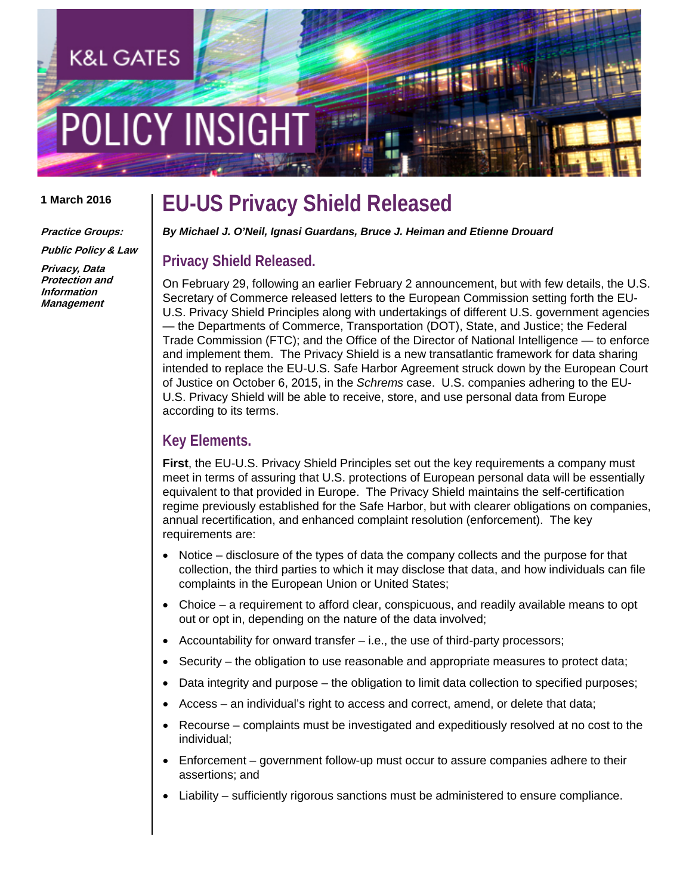# DLICY INSIGH

K&L GATES

#### **1 March 2016**

**Practice Groups: Public Policy & Law**

**Privacy, Data Protection and Information Management**

### **EU-US Privacy Shield Released**

*By Michael J. O'Neil, Ignasi Guardans, Bruce J. Heiman and Etienne Drouard*

#### **Privacy Shield Released.**

On February 29, following an earlier February 2 announcement, but with few details, the U.S. Secretary of Commerce released letters to the European Commission setting forth the EU-U.S. Privacy Shield Principles along with undertakings of different U.S. government agencies — the Departments of Commerce, Transportation (DOT), State, and Justice; the Federal Trade Commission (FTC); and the Office of the Director of National Intelligence — to enforce and implement them. The Privacy Shield is a new transatlantic framework for data sharing intended to replace the EU-U.S. Safe Harbor Agreement struck down by the European Court of Justice on October 6, 2015, in the *Schrems* case. U.S. companies adhering to the EU-U.S. Privacy Shield will be able to receive, store, and use personal data from Europe according to its terms.

#### **Key Elements.**

**First**, the EU-U.S. Privacy Shield Principles set out the key requirements a company must meet in terms of assuring that U.S. protections of European personal data will be essentially equivalent to that provided in Europe. The Privacy Shield maintains the self-certification regime previously established for the Safe Harbor, but with clearer obligations on companies, annual recertification, and enhanced complaint resolution (enforcement). The key requirements are:

- Notice disclosure of the types of data the company collects and the purpose for that collection, the third parties to which it may disclose that data, and how individuals can file complaints in the European Union or United States;
- Choice a requirement to afford clear, conspicuous, and readily available means to opt out or opt in, depending on the nature of the data involved;
- Accountability for onward transfer  $-$  i.e., the use of third-party processors;
- Security the obligation to use reasonable and appropriate measures to protect data;
- Data integrity and purpose the obligation to limit data collection to specified purposes;
- Access an individual's right to access and correct, amend, or delete that data;
- Recourse complaints must be investigated and expeditiously resolved at no cost to the individual;
- Enforcement government follow-up must occur to assure companies adhere to their assertions; and
- Liability sufficiently rigorous sanctions must be administered to ensure compliance.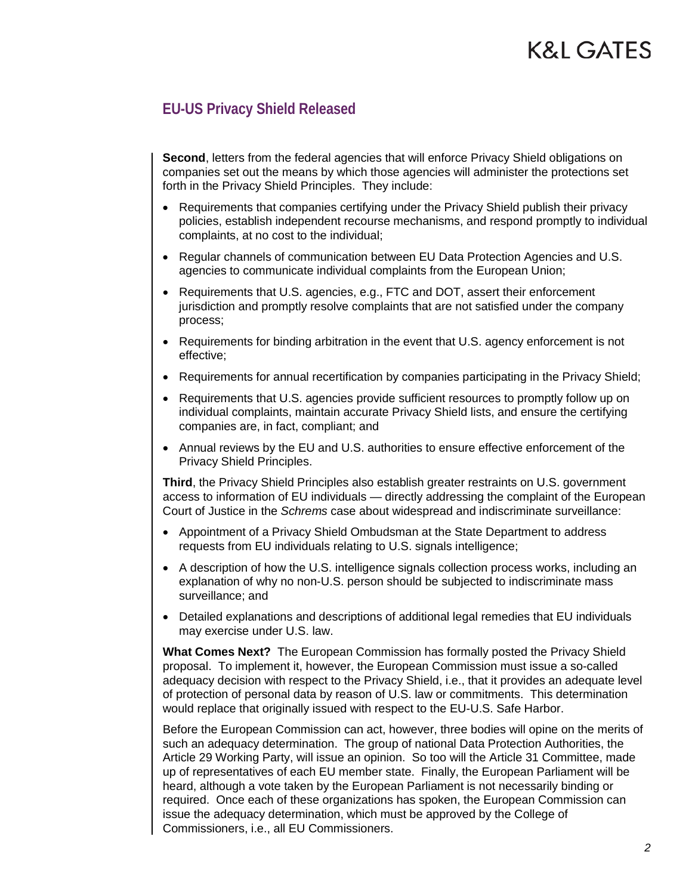## K&L GATES

#### **EU-US Privacy Shield Released**

**Second**, letters from the federal agencies that will enforce Privacy Shield obligations on companies set out the means by which those agencies will administer the protections set forth in the Privacy Shield Principles. They include:

- Requirements that companies certifying under the Privacy Shield publish their privacy policies, establish independent recourse mechanisms, and respond promptly to individual complaints, at no cost to the individual;
- Regular channels of communication between EU Data Protection Agencies and U.S. agencies to communicate individual complaints from the European Union;
- Requirements that U.S. agencies, e.g., FTC and DOT, assert their enforcement jurisdiction and promptly resolve complaints that are not satisfied under the company process;
- Requirements for binding arbitration in the event that U.S. agency enforcement is not effective;
- Requirements for annual recertification by companies participating in the Privacy Shield;
- Requirements that U.S. agencies provide sufficient resources to promptly follow up on individual complaints, maintain accurate Privacy Shield lists, and ensure the certifying companies are, in fact, compliant; and
- Annual reviews by the EU and U.S. authorities to ensure effective enforcement of the Privacy Shield Principles.

**Third**, the Privacy Shield Principles also establish greater restraints on U.S. government access to information of EU individuals — directly addressing the complaint of the European Court of Justice in the *Schrems* case about widespread and indiscriminate surveillance:

- Appointment of a Privacy Shield Ombudsman at the State Department to address requests from EU individuals relating to U.S. signals intelligence;
- A description of how the U.S. intelligence signals collection process works, including an explanation of why no non-U.S. person should be subjected to indiscriminate mass surveillance; and
- Detailed explanations and descriptions of additional legal remedies that EU individuals may exercise under U.S. law.

**What Comes Next?** The European Commission has formally posted the Privacy Shield proposal. To implement it, however, the European Commission must issue a so-called adequacy decision with respect to the Privacy Shield, i.e., that it provides an adequate level of protection of personal data by reason of U.S. law or commitments. This determination would replace that originally issued with respect to the EU-U.S. Safe Harbor.

Before the European Commission can act, however, three bodies will opine on the merits of such an adequacy determination. The group of national Data Protection Authorities, the Article 29 Working Party, will issue an opinion. So too will the Article 31 Committee, made up of representatives of each EU member state. Finally, the European Parliament will be heard, although a vote taken by the European Parliament is not necessarily binding or required. Once each of these organizations has spoken, the European Commission can issue the adequacy determination, which must be approved by the College of Commissioners, i.e., all EU Commissioners.